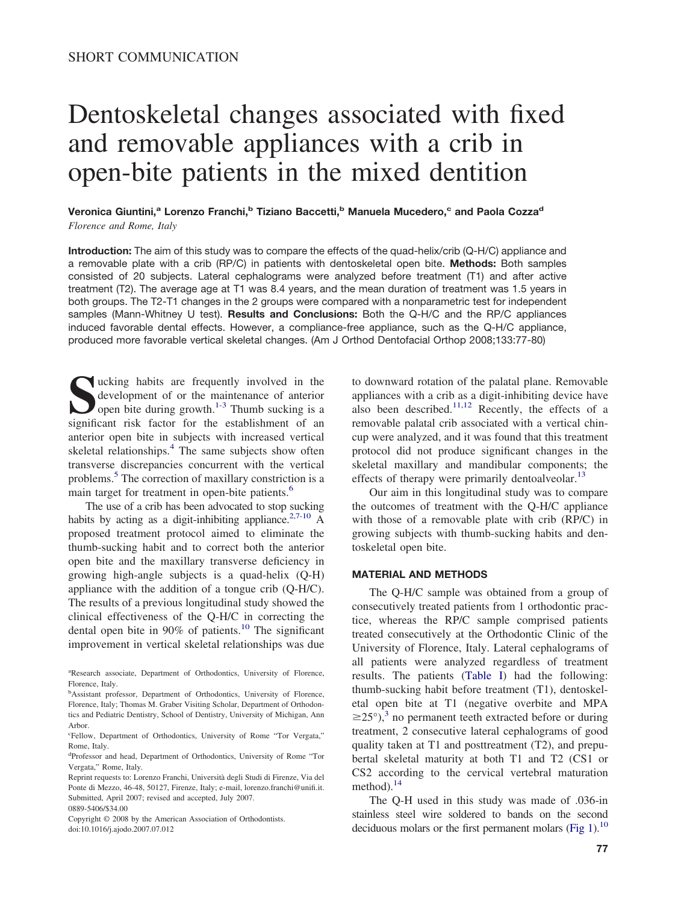# Dentoskeletal changes associated with fixed and removable appliances with a crib in open-bite patients in the mixed dentition

Veronica Giuntini,<sup>a</sup> Lorenzo Franchi,<sup>b</sup> Tiziano Baccetti,<sup>b</sup> Manuela Mucedero,<sup>c</sup> and Paola Cozza<sup>d</sup> *Florence and Rome, Italy*

**Introduction:** The aim of this study was to compare the effects of the quad-helix/crib (Q-H/C) appliance and a removable plate with a crib (RP/C) in patients with dentoskeletal open bite. **Methods:** Both samples consisted of 20 subjects. Lateral cephalograms were analyzed before treatment (T1) and after active treatment (T2). The average age at T1 was 8.4 years, and the mean duration of treatment was 1.5 years in both groups. The T2-T1 changes in the 2 groups were compared with a nonparametric test for independent samples (Mann-Whitney U test). **Results and Conclusions:** Both the Q-H/C and the RP/C appliances induced favorable dental effects. However, a compliance-free appliance, such as the Q-H/C appliance, produced more favorable vertical skeletal changes. (Am J Orthod Dentofacial Orthop 2008;133:77-80)

sucking habits are frequently involved in the<br>development of or the maintenance of anterior<br>open bite during growth.<sup>1-3</sup> Thumb sucking is a<br>significant risk factor for the establishment of an development of or the maintenance of anterior open bite during growth. $1-3$  Thumb sucking is a significant risk factor for the establishment of an anterior open bite in subjects with increased vertical skeletal relationships.<sup>[4](#page-3-0)</sup> The same subjects show often transverse discrepancies concurrent with the vertical problems.[5](#page-3-0) The correction of maxillary constriction is a main target for treatment in open-bite patients.<sup>[6](#page-3-0)</sup>

The use of a crib has been advocated to stop sucking habits by acting as a digit-inhibiting appliance.<sup>2,7-10</sup> A proposed treatment protocol aimed to eliminate the thumb-sucking habit and to correct both the anterior open bite and the maxillary transverse deficiency in growing high-angle subjects is a quad-helix (Q-H) appliance with the addition of a tongue crib (Q-H/C). The results of a previous longitudinal study showed the clinical effectiveness of the Q-H/C in correcting the dental open bite in 90% of patients.<sup>[10](#page-3-0)</sup> The significant improvement in vertical skeletal relationships was due

Copyright © 2008 by the American Association of Orthodontists. doi:10.1016/j.ajodo.2007.07.012

to downward rotation of the palatal plane. Removable appliances with a crib as a digit-inhibiting device have also been described.<sup>[11,12](#page-3-0)</sup> Recently, the effects of a removable palatal crib associated with a vertical chincup were analyzed, and it was found that this treatment protocol did not produce significant changes in the skeletal maxillary and mandibular components; the effects of therapy were primarily dentoalveolar. $^{13}$  $^{13}$  $^{13}$ 

Our aim in this longitudinal study was to compare the outcomes of treatment with the Q-H/C appliance with those of a removable plate with crib (RP/C) in growing subjects with thumb-sucking habits and dentoskeletal open bite.

# **MATERIAL AND METHODS**

The Q-H/C sample was obtained from a group of consecutively treated patients from 1 orthodontic practice, whereas the RP/C sample comprised patients treated consecutively at the Orthodontic Clinic of the University of Florence, Italy. Lateral cephalograms of all patients were analyzed regardless of treatment results. The patients [\(Table](#page-1-0) I) had the following: thumb-sucking habit before treatment (T1), dentoskeletal open bite at T1 (negative overbite and MPA  $\geq$ 25°),<sup>[3](#page-3-0)</sup> no permanent teeth extracted before or during treatment, 2 consecutive lateral cephalograms of good quality taken at T1 and posttreatment (T2), and prepubertal skeletal maturity at both T1 and T2 (CS1 or CS2 according to the cervical vertebral maturation method). $^{14}$  $^{14}$  $^{14}$ 

The Q-H used in this study was made of .036-in stainless steel wire soldered to bands on the second deciduous molars or the first permanent molars [\(Fig](#page-1-0) 1).<sup>10</sup>

a Research associate, Department of Orthodontics, University of Florence, Florence, Italy.

<sup>&</sup>lt;sup>b</sup>Assistant professor, Department of Orthodontics, University of Florence, Florence, Italy; Thomas M. Graber Visiting Scholar, Department of Orthodontics and Pediatric Dentistry, School of Dentistry, University of Michigan, Ann Arbor.

c Fellow, Department of Orthodontics, University of Rome "Tor Vergata," Rome, Italy.

d Professor and head, Department of Orthodontics, University of Rome "Tor Vergata," Rome, Italy.

Reprint requests to: Lorenzo Franchi, Università degli Studi di Firenze, Via del Ponte di Mezzo, 46-48, 50127, Firenze, Italy; e-mail, lorenzo.franchi@unifi.it. Submitted, April 2007; revised and accepted, July 2007. 0889-5406/\$34.00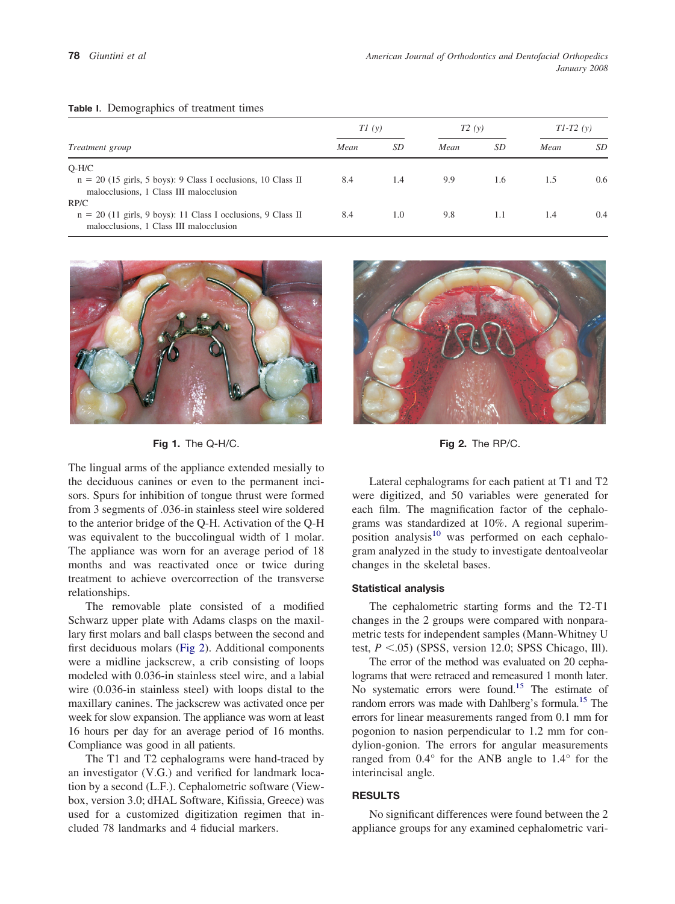| <i>Treatment group</i>                                                                                               | T1(y) |     | T2(y) |     | $T1-T2(y)$ |           |
|----------------------------------------------------------------------------------------------------------------------|-------|-----|-------|-----|------------|-----------|
|                                                                                                                      | Mean  | SD  | Mean  | SD  | Mean       | <i>SD</i> |
| $O-H/C$<br>$n = 20$ (15 girls, 5 boys): 9 Class I occlusions, 10 Class II<br>malocclusions, 1 Class III malocclusion | 8.4   | 1.4 | 9.9   | 1.6 | 1.5        | 0.6       |
| RP/C<br>$n = 20$ (11 girls, 9 boys): 11 Class I occlusions, 9 Class II<br>malocclusions, 1 Class III malocclusion    | 8.4   | 1.0 | 9.8   | 1.1 | 1.4        | 0.4       |

#### <span id="page-1-0"></span>**Table I**. Demographics of treatment times



**Fig 1.** The Q-H/C. **Fig 2.** The RP/C.

The lingual arms of the appliance extended mesially to the deciduous canines or even to the permanent incisors. Spurs for inhibition of tongue thrust were formed from 3 segments of .036-in stainless steel wire soldered to the anterior bridge of the Q-H. Activation of the Q-H was equivalent to the buccolingual width of 1 molar. The appliance was worn for an average period of 18 months and was reactivated once or twice during treatment to achieve overcorrection of the transverse relationships.

The removable plate consisted of a modified Schwarz upper plate with Adams clasps on the maxillary first molars and ball clasps between the second and first deciduous molars (Fig 2). Additional components were a midline jackscrew, a crib consisting of loops modeled with 0.036-in stainless steel wire, and a labial wire (0.036-in stainless steel) with loops distal to the maxillary canines. The jackscrew was activated once per week for slow expansion. The appliance was worn at least 16 hours per day for an average period of 16 months. Compliance was good in all patients.

The T1 and T2 cephalograms were hand-traced by an investigator (V.G.) and verified for landmark location by a second (L.F.). Cephalometric software (Viewbox, version 3.0; dHAL Software, Kifissia, Greece) was used for a customized digitization regimen that included 78 landmarks and 4 fiducial markers.



Lateral cephalograms for each patient at T1 and T2 were digitized, and 50 variables were generated for each film. The magnification factor of the cephalograms was standardized at 10%. A regional superimposition analysis $10$  was performed on each cephalogram analyzed in the study to investigate dentoalveolar changes in the skeletal bases.

## **Statistical analysis**

The cephalometric starting forms and the T2-T1 changes in the 2 groups were compared with nonparametric tests for independent samples (Mann-Whitney U test,  $P < .05$ ) (SPSS, version 12.0; SPSS Chicago, Ill).

The error of the method was evaluated on 20 cephalograms that were retraced and remeasured 1 month later. No systematic errors were found.<sup>15</sup> The estimate of random errors was made with Dahlberg's formula.<sup>15</sup> The errors for linear measurements ranged from 0.1 mm for pogonion to nasion perpendicular to 1.2 mm for condylion-gonion. The errors for angular measurements ranged from 0.4° for the ANB angle to 1.4° for the interincisal angle.

## **RESULTS**

No significant differences were found between the 2 appliance groups for any examined cephalometric vari-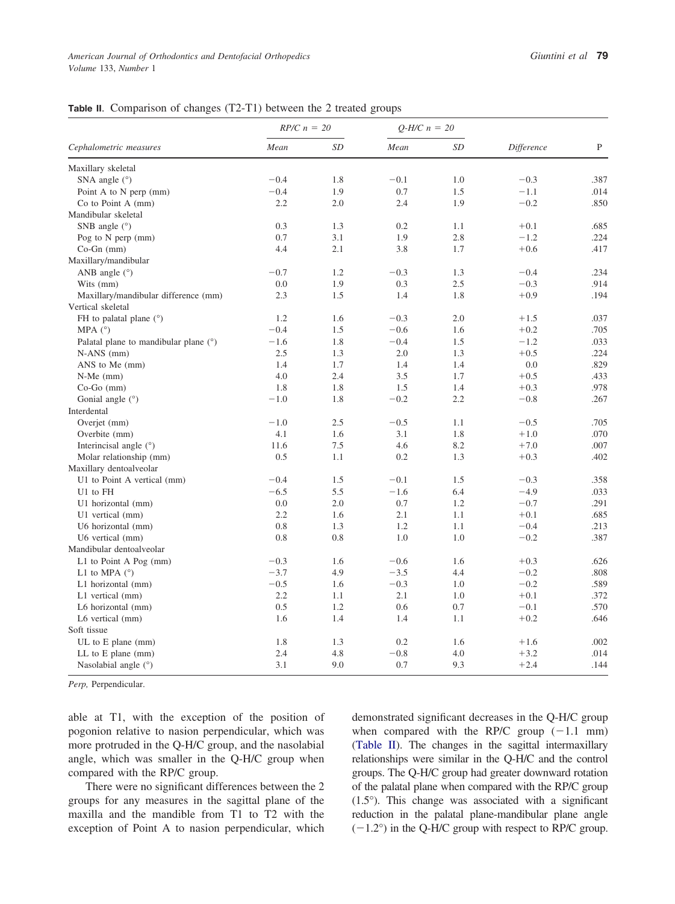# **Table II**. Comparison of changes (T2-T1) between the 2 treated groups

| Cephalometric measures                  | $RP/C n = 20$ |     | $Q-H/C n = 20$ |     |            |      |
|-----------------------------------------|---------------|-----|----------------|-----|------------|------|
|                                         | Mean          | SD  | Mean           | SD  | Difference | P    |
| Maxillary skeletal                      |               |     |                |     |            |      |
| SNA angle $(°)$                         | $-0.4$        | 1.8 | $-0.1$         | 1.0 | $-0.3$     | .387 |
| Point A to N perp $(mm)$                | $-0.4$        | 1.9 | 0.7            | 1.5 | $-1.1$     | .014 |
| Co to Point A (mm)                      | 2.2           | 2.0 | 2.4            | 1.9 | $-0.2$     | .850 |
| Mandibular skeletal                     |               |     |                |     |            |      |
| SNB angle $(°)$                         | 0.3           | 1.3 | 0.2            | 1.1 | $+0.1$     | .685 |
| Pog to N perp (mm)                      | 0.7           | 3.1 | 1.9            | 2.8 | $-1.2$     | .224 |
| $Co-Gn$ (mm)                            | 4.4           | 2.1 | 3.8            | 1.7 | $+0.6$     | .417 |
| Maxillary/mandibular                    |               |     |                |     |            |      |
| ANB angle $(°)$                         | $-0.7$        | 1.2 | $-0.3$         | 1.3 | $-0.4$     | .234 |
| Wits (mm)                               | 0.0           | 1.9 | 0.3            | 2.5 | $-0.3$     | .914 |
| Maxillary/mandibular difference (mm)    | 2.3           | 1.5 | 1.4            | 1.8 | $+0.9$     | .194 |
| Vertical skeletal                       |               |     |                |     |            |      |
| FH to palatal plane $(°)$               | 1.2           | 1.6 | $-0.3$         | 2.0 | $+1.5$     | .037 |
| MPA $(^{\circ})$                        | $-0.4$        | 1.5 | $-0.6$         | 1.6 | $+0.2$     | .705 |
| Palatal plane to mandibular plane $(°)$ | $-1.6$        | 1.8 | $-0.4$         | 1.5 | $-1.2$     | .033 |
| $N-ANS$ (mm)                            | 2.5           | 1.3 | 2.0            | 1.3 | $+0.5$     | .224 |
| ANS to Me (mm)                          | 1.4           | 1.7 | 1.4            | 1.4 | 0.0        | .829 |
| $N-Me$ (mm)                             | 4.0           | 2.4 | 3.5            | 1.7 | $+0.5$     | .433 |
| $Co-Go$ (mm)                            | 1.8           | 1.8 | 1.5            | 1.4 | $+0.3$     | .978 |
| Gonial angle $(°)$                      | $-1.0$        | 1.8 | $-0.2$         | 2.2 | $-0.8$     | .267 |
| Interdental                             |               |     |                |     |            |      |
| Overjet (mm)                            | $-1.0$        | 2.5 | $-0.5$         | 1.1 | $-0.5$     | .705 |
| Overbite (mm)                           | 4.1           | 1.6 | 3.1            | 1.8 | $+1.0$     | .070 |
| Interincisal angle $(°)$                | 11.6          | 7.5 | 4.6            | 8.2 | $+7.0$     | .007 |
| Molar relationship (mm)                 | 0.5           | 1.1 | 0.2            | 1.3 | $+0.3$     | .402 |
| Maxillary dentoalveolar                 |               |     |                |     |            |      |
| U1 to Point A vertical (mm)             | $-0.4$        | 1.5 | $-0.1$         | 1.5 | $-0.3$     | .358 |
| U1 to FH                                | $-6.5$        | 5.5 | $-1.6$         | 6.4 | $-4.9$     | .033 |
| U1 horizontal (mm)                      | 0.0           | 2.0 | 0.7            | 1.2 | $-0.7$     | .291 |
| U1 vertical (mm)                        | 2.2           | 1.6 | 2.1            | 1.1 | $+0.1$     | .685 |
| U6 horizontal (mm)                      | 0.8           | 1.3 | 1.2            | 1.1 | $-0.4$     | .213 |
| U6 vertical (mm)                        | 0.8           | 0.8 | 1.0            | 1.0 | $-0.2$     | .387 |
| Mandibular dentoalveolar                |               |     |                |     |            |      |
| L1 to Point A Pog $(mm)$                | $-0.3$        | 1.6 | $-0.6$         | 1.6 | $+0.3$     | .626 |
| L1 to MPA $(^\circ)$                    | $-3.7$        | 4.9 | $-3.5$         | 4.4 | $-0.2$     | .808 |
| L1 horizontal (mm)                      | $-0.5$        | 1.6 | $-0.3$         | 1.0 | $-0.2$     | .589 |
| L1 vertical (mm)                        | 2.2           | 1.1 | 2.1            | 1.0 | $+0.1$     | .372 |
| L6 horizontal (mm)                      | 0.5           | 1.2 | 0.6            | 0.7 | $-0.1$     | .570 |
| L6 vertical (mm)                        | 1.6           | 1.4 | 1.4            | 1.1 | $+0.2$     | .646 |
| Soft tissue                             |               |     |                |     |            |      |
| $UL$ to $E$ plane (mm)                  | 1.8           | 1.3 | 0.2            | 1.6 | $+1.6$     | .002 |
| $LL$ to $E$ plane (mm)                  | 2.4           | 4.8 | $-0.8$         | 4.0 | $+3.2$     | .014 |
| Nasolabial angle $(°)$                  | 3.1           | 9.0 | 0.7            | 9.3 | $+2.4$     | .144 |

*Perp,* Perpendicular.

able at T1, with the exception of the position of pogonion relative to nasion perpendicular, which was more protruded in the Q-H/C group, and the nasolabial angle, which was smaller in the Q-H/C group when compared with the RP/C group.

There were no significant differences between the 2 groups for any measures in the sagittal plane of the maxilla and the mandible from T1 to T2 with the exception of Point A to nasion perpendicular, which demonstrated significant decreases in the Q-H/C group when compared with the RP/C group  $(-1.1 \text{ mm})$ (Table II). The changes in the sagittal intermaxillary relationships were similar in the Q-H/C and the control groups. The Q-H/C group had greater downward rotation of the palatal plane when compared with the RP/C group (1.5°). This change was associated with a significant reduction in the palatal plane-mandibular plane angle  $(-1.2^{\circ})$  in the Q-H/C group with respect to RP/C group.